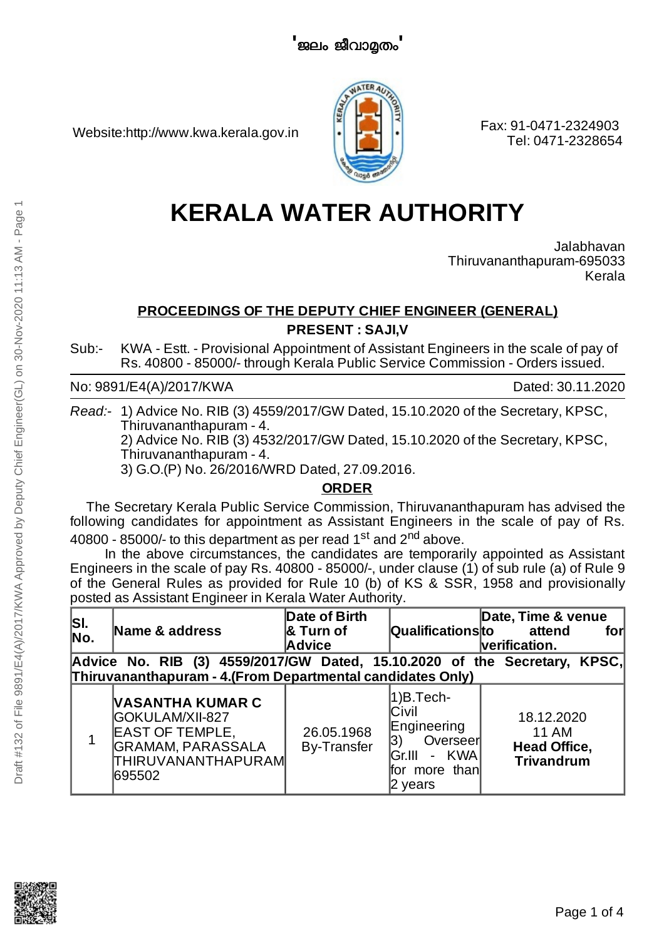Website:http://www.kwa.kerala.gov.in



Fax: 91-0471-2324903 Tel: 0471-2328654

## **KERALA WATER AUTHORITY**

Jalabhavan Thiruvananthapuram-695033 Kerala

## **PROCEEDINGS OF THE DEPUTY CHIEF ENGINEER (GENERAL)**

**PRESENT : SAJI,V**

Sub:- KWA - Estt. - Provisional Appointment of Assistant Engineers in the scale of pay of Rs. 40800 - 85000/- through Kerala Public Service Commission - Orders issued.

No: 9891/E4(A)/2017/KWA Dated: 30.11.2020

*Read:-* 1) Advice No. RIB (3) 4559/2017/GW Dated, 15.10.2020 of the Secretary, KPSC, Thiruvananthapuram - 4.

2) Advice No. RIB (3) 4532/2017/GW Dated, 15.10.2020 of the Secretary, KPSC, Thiruvananthapuram - 4.

3) G.O.(P) No. 26/2016/WRD Dated, 27.09.2016.

## **ORDER**

The Secretary Kerala Public Service Commission, Thiruvananthapuram has advised the following candidates for appointment as Assistant Engineers in the scale of pay of Rs. 40800 - 85000/- to this department as per read 1<sup>st</sup> and 2<sup>nd</sup> above.

In the above circumstances, the candidates are temporarily appointed as Assistant Engineers in the scale of pay Rs. 40800 - 85000/-, under clause  $(1)$  of sub rule (a) of Rule 9 of the General Rules as provided for Rule 10 (b) of KS & SSR, 1958 and provisionally posted as Assistant Engineer in Kerala Water Authority.

| SI.<br>No.                                                                                                                               | Name & address                                                                                                                          | Date of Birth<br>& Turn of<br>Advice | <b>Qualifications</b> to                                                                             | Date, Time & venue<br>attend<br>forl<br>verification.                  |  |  |  |  |
|------------------------------------------------------------------------------------------------------------------------------------------|-----------------------------------------------------------------------------------------------------------------------------------------|--------------------------------------|------------------------------------------------------------------------------------------------------|------------------------------------------------------------------------|--|--|--|--|
| Advice No. RIB (3) 4559/2017/GW Dated, 15.10.2020 of the Secretary, KPSC,<br>Thiruvananthapuram - 4. (From Departmental candidates Only) |                                                                                                                                         |                                      |                                                                                                      |                                                                        |  |  |  |  |
|                                                                                                                                          | <b>VASANTHA KUMAR C</b><br><b>GOKULAM/XII-827</b><br><b>EAST OF TEMPLE,</b><br><b>GRAMAM, PARASSALA</b><br>THIRUVANANTHAPURAM<br>695502 | 26.05.1968<br><b>By-Transfer</b>     | 1)B.Tech-<br>Civil<br>Engineering<br>3)<br>Overseer<br>- KWA<br>lGr.III<br>for more than <br>2 years | 18.12.2020<br><b>11 AM</b><br><b>Head Office,</b><br><b>Trivandrum</b> |  |  |  |  |

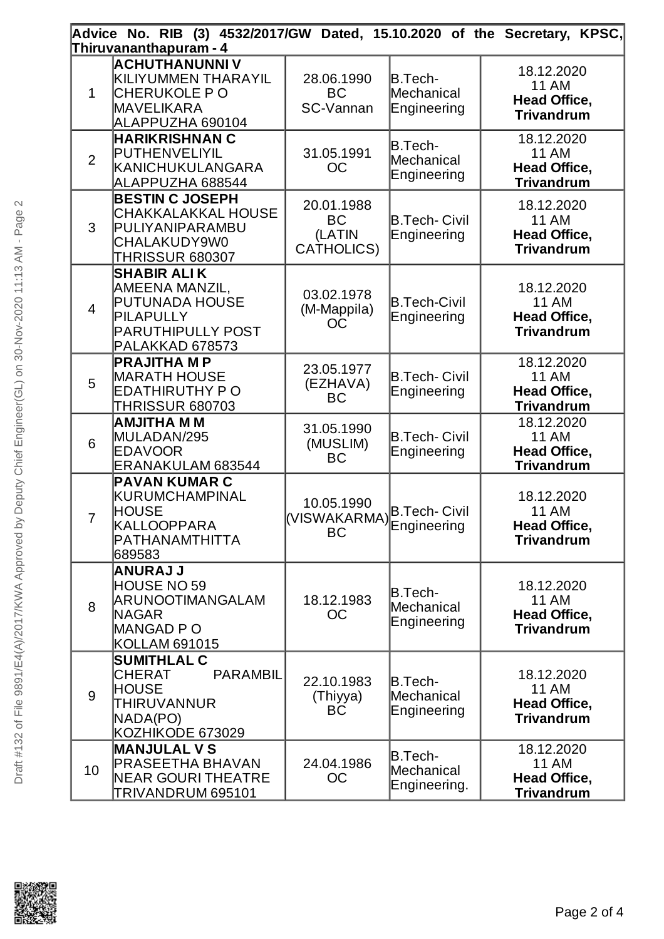|                | Advice No. RIB (3) 4532/2017/GW Dated, 15.10.2020 of the Secretary, KPSC,<br>Thiruvananthapuram - 4                          |                                                                                      |                                       |                                                                        |  |  |  |
|----------------|------------------------------------------------------------------------------------------------------------------------------|--------------------------------------------------------------------------------------|---------------------------------------|------------------------------------------------------------------------|--|--|--|
| $\mathbf{1}$   | <b>ACHUTHANUNNI V</b><br><b>KILIYUMMEN THARAYIL</b><br>CHERUKOLE PO<br><b>MAVELIKARA</b><br>ALAPPUZHA 690104                 | 28.06.1990<br><b>BC</b><br>SC-Vannan                                                 | B.Tech-<br>Mechanical<br>Engineering  | 18.12.2020<br><b>11 AM</b><br><b>Head Office,</b><br><b>Trivandrum</b> |  |  |  |
| $\overline{2}$ | <b>HARIKRISHNAN C</b><br><b>PUTHENVELIYIL</b><br><b>KANICHUKULANGARA</b><br>ALAPPUZHA 688544                                 | 31.05.1991<br><b>OC</b>                                                              | B.Tech-<br>Mechanical<br>Engineering  | 18.12.2020<br><b>11 AM</b><br><b>Head Office,</b><br><b>Trivandrum</b> |  |  |  |
| 3              | <b>BESTIN C JOSEPH</b><br><b>CHAKKALAKKAL HOUSE</b><br>PULIYANIPARAMBU<br>CHALAKUDY9W0<br><b>THRISSUR 680307</b>             | 20.01.1988<br><b>BC</b><br>(LATIN<br><b>CATHOLICS)</b>                               | B.Tech- Civil<br>Engineering          | 18.12.2020<br><b>11 AM</b><br><b>Head Office,</b><br><b>Trivandrum</b> |  |  |  |
| 4              | <b>SHABIR ALIK</b><br>AMEENA MANZIL,<br><b>PUTUNADA HOUSE</b><br>PILAPULLY<br><b>PARUTHIPULLY POST</b><br>PALAKKAD 678573    | 03.02.1978<br>(M-Mappila)<br>OC                                                      | <b>B.Tech-Civil</b><br>Engineering    | 18.12.2020<br><b>11 AM</b><br><b>Head Office,</b><br><b>Trivandrum</b> |  |  |  |
| 5              | <b>PRAJITHA MP</b><br><b>MARATH HOUSE</b><br><b>EDATHIRUTHY PO</b><br><b>THRISSUR 680703</b>                                 | 23.05.1977<br>(EZHAVA)<br><b>BC</b>                                                  | <b>B.Tech-Civil</b><br>Engineering    | 18.12.2020<br><b>11 AM</b><br><b>Head Office,</b><br><b>Trivandrum</b> |  |  |  |
| 6              | <b>AMJITHA MM</b><br>MULADAN/295<br><b>EDAVOOR</b><br>ERANAKULAM 683544                                                      | 31.05.1990<br>(MUSLIM)<br><b>BC</b>                                                  | B.Tech- Civil<br>Engineering          | 18.12.2020<br><b>11 AM</b><br><b>Head Office,</b><br><b>Trivandrum</b> |  |  |  |
| $\overline{7}$ | <b>PAVAN KUMAR C</b><br><b>KURUMCHAMPINAL</b><br><b>HOUSE</b><br>KALLOOPPARA<br>PATHANAMTHITTA<br>689583                     | 10.05.1990<br>NU.03.1990<br>(VISWAKARMA)B.Tech- Civil<br>RC Engineering<br><b>BC</b> |                                       | 18.12.2020<br><b>11 AM</b><br><b>Head Office,</b><br><b>Trivandrum</b> |  |  |  |
| 8              | <b>ANURAJJ</b><br>HOUSE NO 59<br><b>ARUNOOTIMANGALAM</b><br><b>NAGAR</b><br><b>MANGAD P O</b><br><b>KOLLAM 691015</b>        | 18.12.1983<br><b>OC</b>                                                              | B.Tech-<br>Mechanical<br>Engineering  | 18.12.2020<br><b>11 AM</b><br><b>Head Office,</b><br><b>Trivandrum</b> |  |  |  |
| 9              | <b>SUMITHLAL C</b><br><b>PARAMBIL</b><br><b>CHERAT</b><br><b>HOUSE</b><br><b>THIRUVANNUR</b><br>NADA(PO)<br>KOZHIKODE 673029 | 22.10.1983<br>(Thiyya)<br><b>BC</b>                                                  | B.Tech-<br>Mechanical<br>Engineering  | 18.12.2020<br><b>11 AM</b><br><b>Head Office,</b><br><b>Trivandrum</b> |  |  |  |
| 10             | <b>MANJULAL VS</b><br><b>PRASEETHA BHAVAN</b><br><b>NEAR GOURI THEATRE</b><br><b>TRIVANDRUM 695101</b>                       | 24.04.1986<br><b>OC</b>                                                              | B.Tech-<br>Mechanical<br>Engineering. | 18.12.2020<br><b>11 AM</b><br><b>Head Office,</b><br><b>Trivandrum</b> |  |  |  |

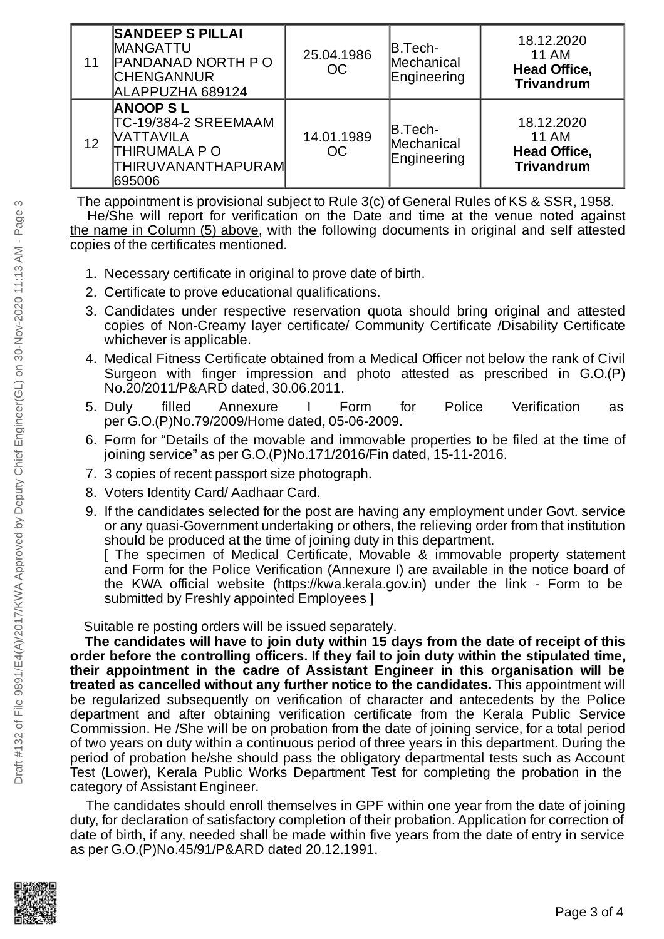| 11 | <b>SANDEEP S PILLAI</b><br><b>MANGATTU</b><br><b>PANDANAD NORTH P O</b><br><b>CHENGANNUR</b><br>ALAPPUZHA 689124 | 25.04.1986<br>OC  | $B.Tech-$<br>Mechanical<br>Engineering | 18.12.2020<br>11 AM<br><b>Head Office,</b><br><b>Trivandrum</b> |
|----|------------------------------------------------------------------------------------------------------------------|-------------------|----------------------------------------|-----------------------------------------------------------------|
| 12 | <b>ANOOP SL</b><br>TC-19/384-2 SREEMAAM<br>VATTAVILA<br>THIRUMALA P O<br>THIRUVANANTHAPURAM<br>695006            | 14.01.1989<br>OC. | $B.Tech-$<br>Mechanical<br>Engineering | 18.12.2020<br>11 AM<br><b>Head Office,</b><br><b>Trivandrum</b> |

The appointment is provisional subject to Rule 3(c) of General Rules of KS & SSR, 1958. He/She will report for verification on the Date and time at the venue noted against the name in Column (5) above, with the following documents in original and self attested copies of the certificates mentioned.

- 1. Necessary certificate in original to prove date of birth.
- 2. Certificate to prove educational qualifications.
- 3. Candidates under respective reservation quota should bring original and attested copies of Non-Creamy layer certificate/ Community Certificate /Disability Certificate whichever is applicable.
- 4. Medical Fitness Certificate obtained from a Medical Officer not below the rank of Civil Surgeon with finger impression and photo attested as prescribed in G.O.(P) No.20/2011/P&ARD dated, 30.06.2011.
- 5. Duly filled Annexure I Form for Police Verification as per G.O.(P)No.79/2009/Home dated, 05-06-2009.
- 6. Form for "Details of the movable and immovable properties to be filed at the time of joining service" as per G.O.(P)No.171/2016/Fin dated, 15-11-2016.
- 7. 3 copies of recent passport size photograph.
- 8. Voters Identity Card/ Aadhaar Card.
- 9. If the candidates selected for the post are having any employment under Govt. service or any quasi-Government undertaking or others, the relieving order from that institution should be produced at the time of joining duty in this department.

[ The specimen of Medical Certificate, Movable & immovable property statement and Form for the Police Verification (Annexure I) are available in the notice board of the KWA official website (https://kwa.kerala.gov.in) under the link - Form to be submitted by Freshly appointed Employees ]

Suitable re posting orders will be issued separately.

**The candidates will have to join duty within 15 days from the date of receipt of this order before the controlling officers. If they fail to join duty within the stipulated time, their appointment in the cadre of Assistant Engineer in this organisation will be treated as cancelled without any further notice to the candidates.** This appointment will be regularized subsequently on verification of character and antecedents by the Police department and after obtaining verification certificate from the Kerala Public Service Commission. He /She will be on probation from the date of joining service, for a total period of two years on duty within a continuous period of three years in this department. During the period of probation he/she should pass the obligatory departmental tests such as Account Test (Lower), Kerala Public Works Department Test for completing the probation in the category of Assistant Engineer.

The candidates should enroll themselves in GPF within one year from the date of joining duty, for declaration of satisfactory completion of their probation. Application for correction of date of birth, if any, needed shall be made within five years from the date of entry in service as per G.O.(P)No.45/91/P&ARD dated 20.12.1991.



ന